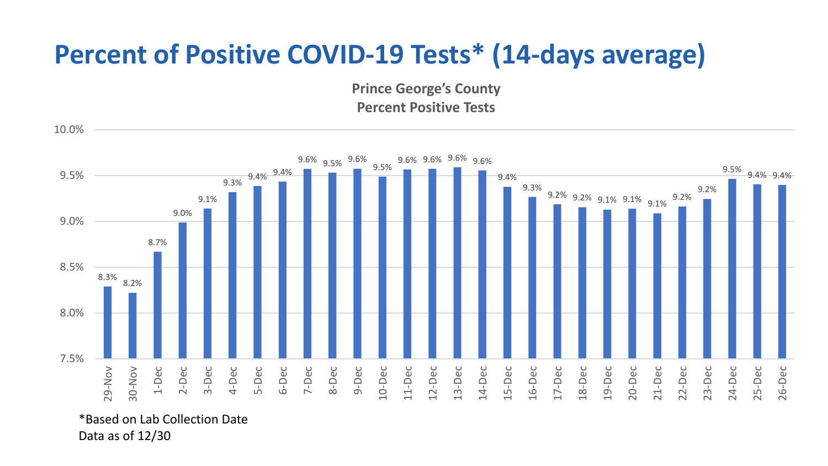## **Percent of Positive COVID-19 Tests\* (14-days average)**

**Prince George's County Percent Positive Tests**



\*Based on Lab Collection Date Data as of 12/30

10.0%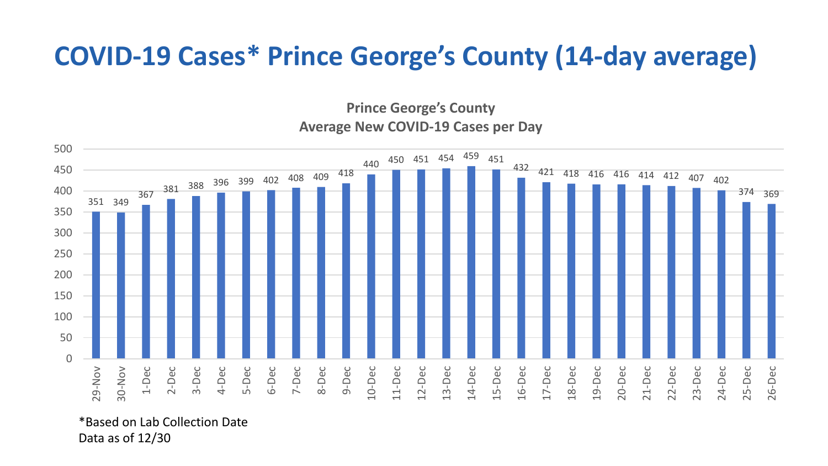## **COVID-19 Cases\* Prince George's County (14-day average)**

**Prince George's County Average New COVID-19 Cases per Day**



\*Based on Lab Collection Date Data as of 12/30